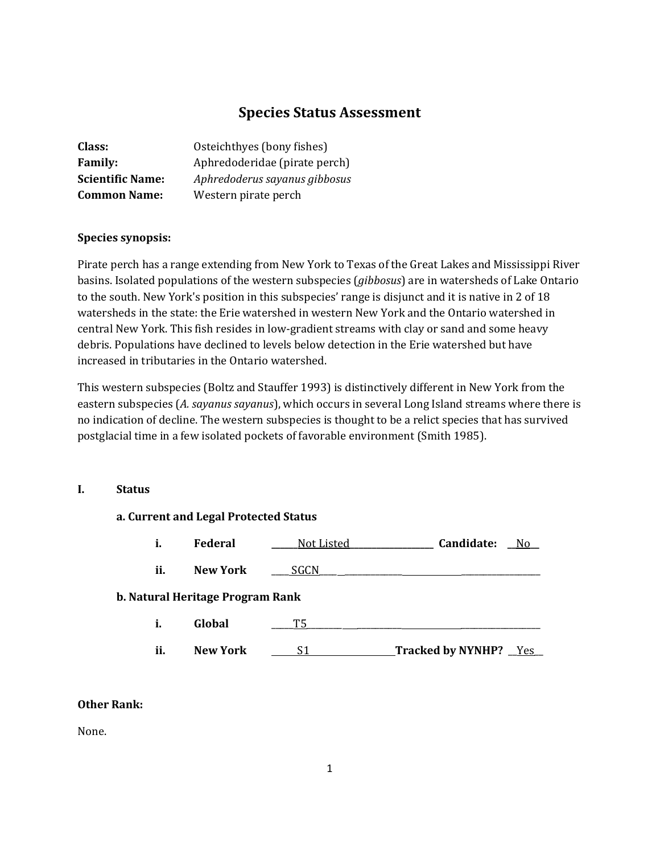# **Species Status Assessment**

| Class:                  | Osteichthyes (bony fishes)    |
|-------------------------|-------------------------------|
| <b>Family:</b>          | Aphredoderidae (pirate perch) |
| <b>Scientific Name:</b> | Aphredoderus sayanus gibbosus |
| <b>Common Name:</b>     | Western pirate perch          |

# **Species synopsis:**

Pirate perch has a range extending from New York to Texas of the Great Lakes and Mississippi River basins. Isolated populations of the western subspecies (*gibbosus*) are in watersheds of Lake Ontario to the south. New York's position in this subspecies' range is disjunct and it is native in 2 of 18 watersheds in the state: the Erie watershed in western New York and the Ontario watershed in central New York. This fish resides in low-gradient streams with clay or sand and some heavy debris. Populations have declined to levels below detection in the Erie watershed but have increased in tributaries in the Ontario watershed.

This western subspecies (Boltz and Stauffer 1993) is distinctively different in New York from the eastern subspecies (*A. sayanus sayanus*), which occurs in several Long Island streams where there is no indication of decline. The western subspecies is thought to be a relict species that has survived postglacial time in a few isolated pockets of favorable environment (Smith 1985).

# **I. Status**

# **a. Current and Legal Protected Status i. Federal \_\_\_\_\_\_**Not Listed**\_\_\_\_\_\_\_\_\_\_\_\_\_\_\_\_\_\_\_ Candidate: \_\_**No**\_\_ ii. New York SGCN** \_\_\_ **b. Natural Heritage Program Rank i. Global**  $\qquad$  T5 ii. **New York** S1 **Tracked by NYNHP?** Yes

# **Other Rank:**

None.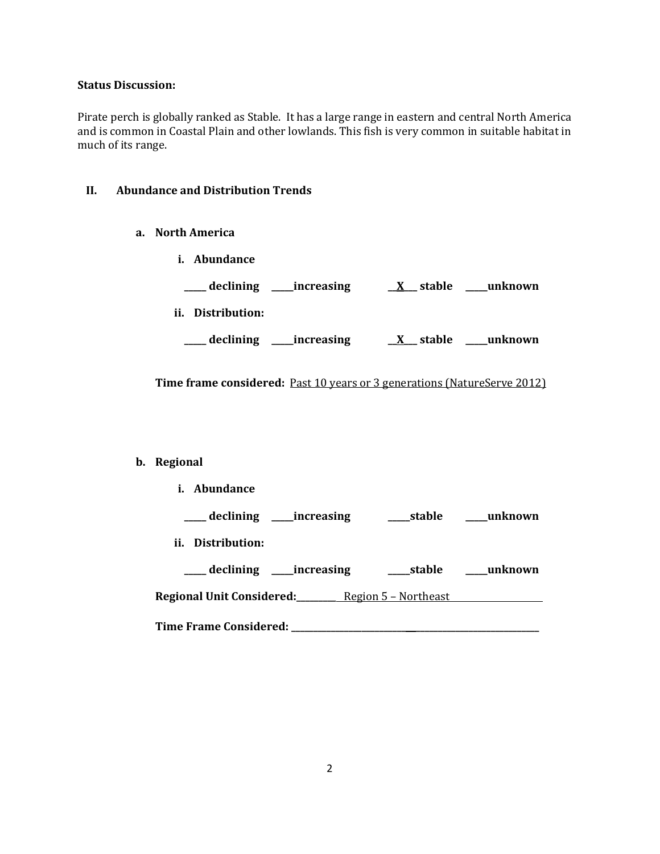#### **Status Discussion:**

Pirate perch is globally ranked as Stable. It has a large range in eastern and central North America and is common in Coastal Plain and other lowlands. This fish is very common in suitable habitat in much of its range.

# **II. Abundance and Distribution Trends**

- **a. North America**
	- **i. Abundance \_\_\_\_\_ declining \_\_\_\_\_increasing \_\_X\_\_\_ stable \_\_\_\_\_unknown ii. Distribution: \_\_\_\_\_ declining \_\_\_\_\_increasing \_\_X\_\_\_ stable \_\_\_\_\_unknown**

**Time frame considered:** Past 10 years or 3 generations (NatureServe 2012)

# **b. Regional**

**i. Abundance \_\_\_\_\_ declining \_\_\_\_\_increasing \_\_\_\_\_stable \_\_\_\_\_unknown ii. Distribution: \_\_\_\_\_ declining \_\_\_\_\_increasing \_\_\_\_\_stable \_\_\_\_\_unknown Regional Unit Considered:\_\_\_\_\_\_\_\_\_** Region 5 – Northeast **Time Frame Considered: \_\_\_\_\_\_\_\_\_\_\_\_\_\_\_\_\_\_\_\_\_\_\_\_\_\_ \_\_\_\_\_\_\_\_\_\_\_\_\_\_\_\_\_\_\_\_\_\_\_\_\_\_\_\_**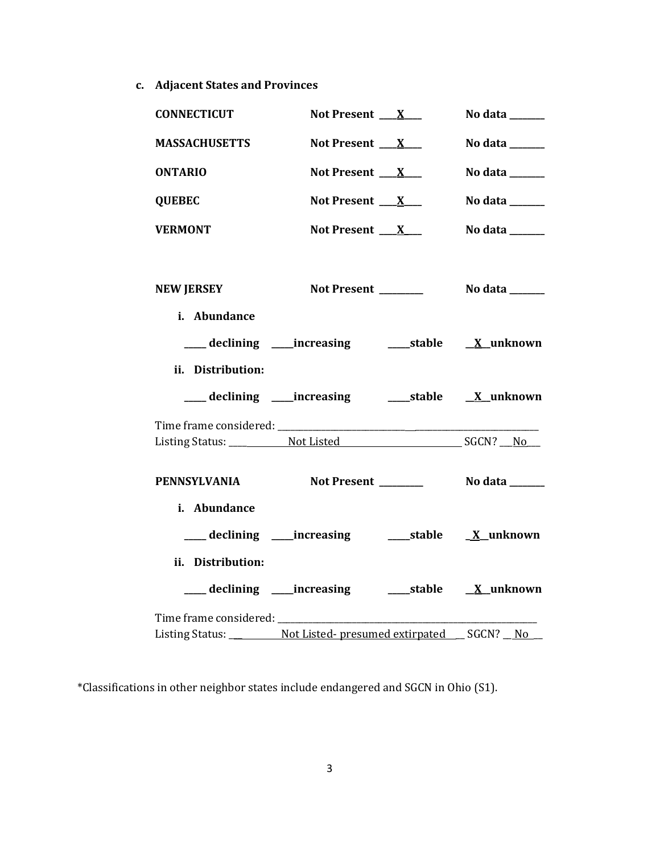**c. Adjacent States and Provinces**

| <b>CONNECTICUT</b>                                                          | Not Present $X_{-}$                                       | No data ______                                                              |
|-----------------------------------------------------------------------------|-----------------------------------------------------------|-----------------------------------------------------------------------------|
| <b>MASSACHUSETTS</b>                                                        | Not Present $X_{-}$                                       | No data ______                                                              |
| <b>ONTARIO</b>                                                              | Not Present $X_{-}$                                       | No data $\frac{1}{\sqrt{1-\frac{1}{2}}\cdot\frac{1}{\sqrt{1-\frac{1}{2}}}}$ |
| <b>QUEBEC</b>                                                               | Not Present $X_{-}$                                       | No data ______                                                              |
| <b>VERMONT</b>                                                              | Not Present $X_{-}$                                       | No data $\_\_\_\_\_\_\_\_\_\_\_\_\$                                         |
| <b>NEW JERSEY</b>                                                           | Not Present _______                                       | No data _______                                                             |
| i. Abundance                                                                |                                                           |                                                                             |
|                                                                             | ___ declining ____ increasing ______ stable ___ X_unknown |                                                                             |
| ii. Distribution:                                                           |                                                           |                                                                             |
|                                                                             |                                                           |                                                                             |
|                                                                             |                                                           |                                                                             |
| PENNSYLVANIA                                                                |                                                           |                                                                             |
| i. Abundance                                                                |                                                           |                                                                             |
|                                                                             | ___ declining ____increasing ______stable _____X_unknown  |                                                                             |
| ii. Distribution:                                                           |                                                           |                                                                             |
|                                                                             |                                                           |                                                                             |
|                                                                             |                                                           |                                                                             |
| Listing Status: ____________ Not Listed-presumed extirpated ___ SGCN? __ No |                                                           |                                                                             |

\*Classifications in other neighbor states include endangered and SGCN in Ohio (S1).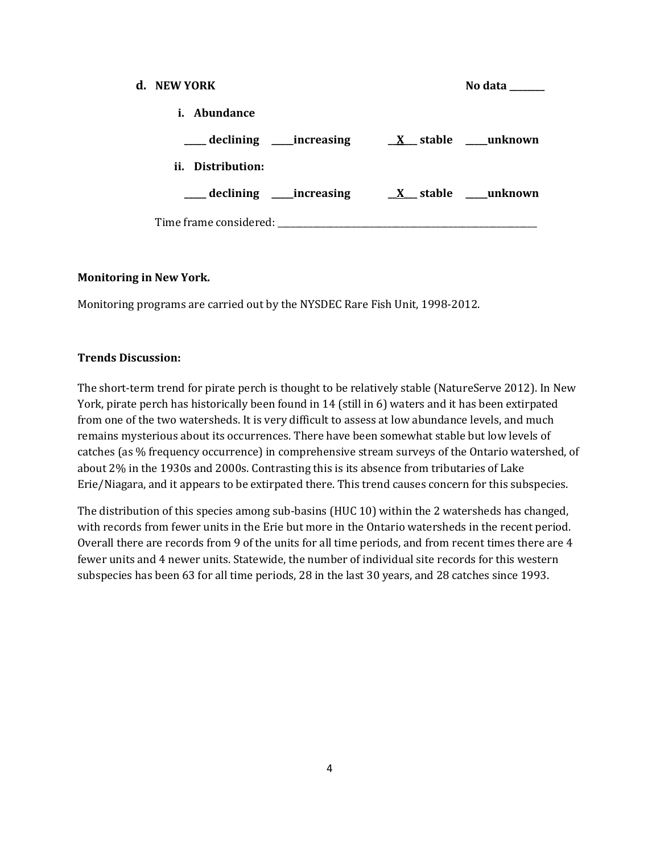| d. NEW YORK                                   | No data ______                                                              |
|-----------------------------------------------|-----------------------------------------------------------------------------|
| i. Abundance                                  |                                                                             |
|                                               | $\frac{1}{1}$ declining _____ increasing $\frac{X}{X}$ stable _____ unknown |
| ii. Distribution:                             |                                                                             |
| ____ declining _____ increasing               | $X$ stable _____ unknown                                                    |
| Time frame considered: Time frame considered: |                                                                             |

#### **Monitoring in New York.**

Monitoring programs are carried out by the NYSDEC Rare Fish Unit, 1998-2012.

#### **Trends Discussion:**

The short-term trend for pirate perch is thought to be relatively stable (NatureServe 2012). In New York, pirate perch has historically been found in 14 (still in 6) waters and it has been extirpated from one of the two watersheds. It is very difficult to assess at low abundance levels, and much remains mysterious about its occurrences. There have been somewhat stable but low levels of catches (as % frequency occurrence) in comprehensive stream surveys of the Ontario watershed, of about 2% in the 1930s and 2000s. Contrasting this is its absence from tributaries of Lake Erie/Niagara, and it appears to be extirpated there. This trend causes concern for this subspecies.

The distribution of this species among sub-basins (HUC 10) within the 2 watersheds has changed, with records from fewer units in the Erie but more in the Ontario watersheds in the recent period. Overall there are records from 9 of the units for all time periods, and from recent times there are 4 fewer units and 4 newer units. Statewide, the number of individual site records for this western subspecies has been 63 for all time periods, 28 in the last 30 years, and 28 catches since 1993.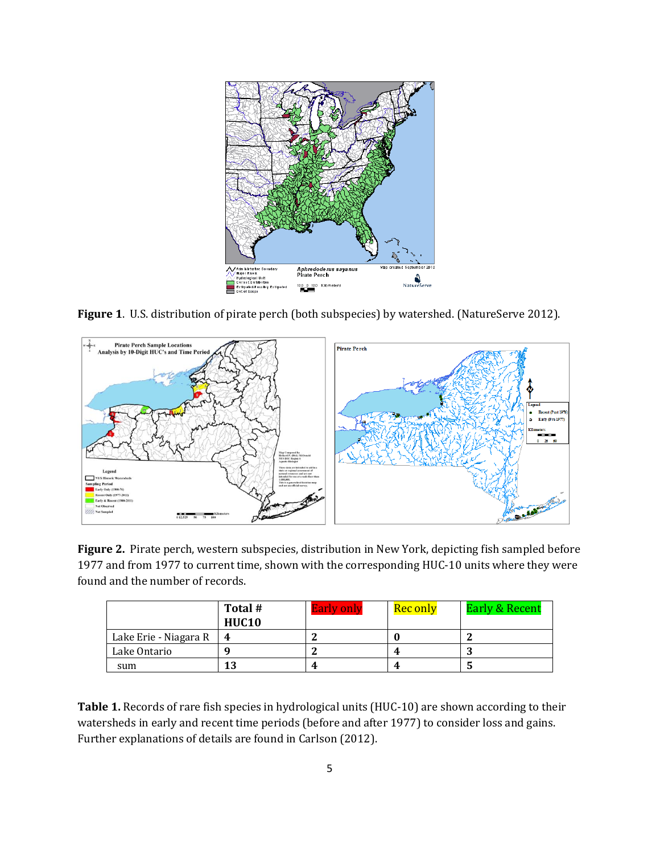

**Figure 1**. U.S. distribution of pirate perch (both subspecies) by watershed. (NatureServe 2012).



**Figure 2.** Pirate perch, western subspecies, distribution in New York, depicting fish sampled before 1977 and from 1977 to current time, shown with the corresponding HUC-10 units where they were found and the number of records.

|                       | Total #<br><b>HUC10</b> | <b>Early only</b> | <b>Rec only</b> | <b>Early &amp; Recent</b> |
|-----------------------|-------------------------|-------------------|-----------------|---------------------------|
| Lake Erie - Niagara R |                         |                   |                 |                           |
| Lake Ontario          |                         |                   | 4               | N                         |
| sum                   | 13                      | 4                 | 4               | C                         |

**Table 1.** Records of rare fish species in hydrological units (HUC-10) are shown according to their watersheds in early and recent time periods (before and after 1977) to consider loss and gains. Further explanations of details are found in Carlson (2012).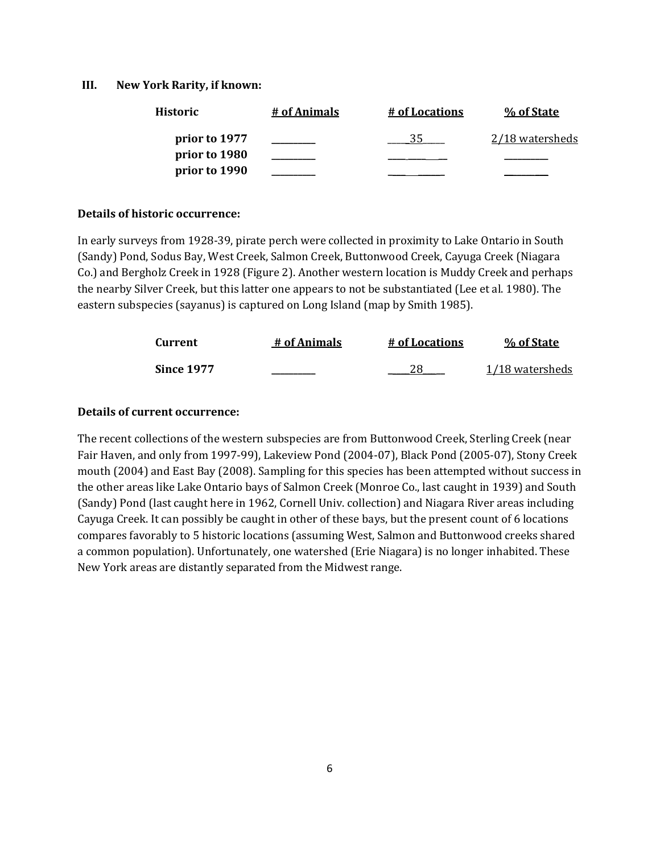#### **III. New York Rarity, if known:**

| Historic      | # of Animals | # of Locations | % of State             |
|---------------|--------------|----------------|------------------------|
| prior to 1977 |              |                | <u>2/18 watersheds</u> |
| prior to 1980 |              |                |                        |
| prior to 1990 |              |                |                        |

#### **Details of historic occurrence:**

In early surveys from 1928-39, pirate perch were collected in proximity to Lake Ontario in South (Sandy) Pond, Sodus Bay, West Creek, Salmon Creek, Buttonwood Creek, Cayuga Creek (Niagara Co.) and Bergholz Creek in 1928 (Figure 2). Another western location is Muddy Creek and perhaps the nearby Silver Creek, but this latter one appears to not be substantiated (Lee et al. 1980). The eastern subspecies (sayanus) is captured on Long Island (map by Smith 1985).

| Current           | # of Animals | # of Locations | % of State      |
|-------------------|--------------|----------------|-----------------|
| <b>Since 1977</b> |              |                | 1/18 watersheds |

# **Details of current occurrence:**

The recent collections of the western subspecies are from Buttonwood Creek, Sterling Creek (near Fair Haven, and only from 1997-99), Lakeview Pond (2004-07), Black Pond (2005-07), Stony Creek mouth (2004) and East Bay (2008). Sampling for this species has been attempted without success in the other areas like Lake Ontario bays of Salmon Creek (Monroe Co., last caught in 1939) and South (Sandy) Pond (last caught here in 1962, Cornell Univ. collection) and Niagara River areas including Cayuga Creek. It can possibly be caught in other of these bays, but the present count of 6 locations compares favorably to 5 historic locations (assuming West, Salmon and Buttonwood creeks shared a common population). Unfortunately, one watershed (Erie Niagara) is no longer inhabited. These New York areas are distantly separated from the Midwest range.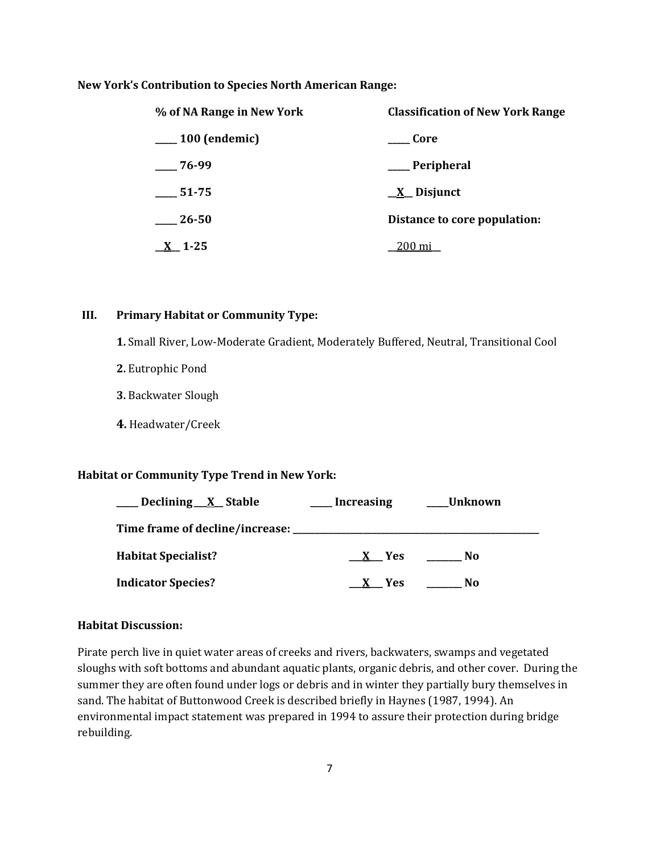#### **New York's Contribution to Species North American Range:**

| % of NA Range in New York   | <b>Classification of New York Range</b> |  |
|-----------------------------|-----------------------------------------|--|
| <sub>__</sub> 100 (endemic) | <b>Core</b>                             |  |
| $-76-99$                    | ___ Peripheral                          |  |
| 51-75                       | $\underline{X}$ Disjunct                |  |
| 26-50                       | Distance to core population:            |  |
| $X_{-}$ 1-25                | 200 mi                                  |  |

# **III. Primary Habitat or Community Type:**

**1.** Small River, Low-Moderate Gradient, Moderately Buffered, Neutral, Transitional Cool

- **2.** Eutrophic Pond
- **3.** Backwater Slough
- **4.** Headwater/Creek

# **Habitat or Community Type Trend in New York:**

| _Declining_X_Stable                     | <b>Increasing</b> | Unknown |
|-----------------------------------------|-------------------|---------|
| Time frame of decline/increase: _______ |                   |         |
| <b>Habitat Specialist?</b>              | X Yes             | No      |
| <b>Indicator Species?</b>               | <b>Yes</b>        | No      |

#### **Habitat Discussion:**

Pirate perch live in quiet water areas of creeks and rivers, backwaters, swamps and vegetated sloughs with soft bottoms and abundant aquatic plants, organic debris, and other cover. During the summer they are often found under logs or debris and in winter they partially bury themselves in sand. The habitat of Buttonwood Creek is described briefly in Haynes (1987, 1994). An environmental impact statement was prepared in 1994 to assure their protection during bridge rebuilding.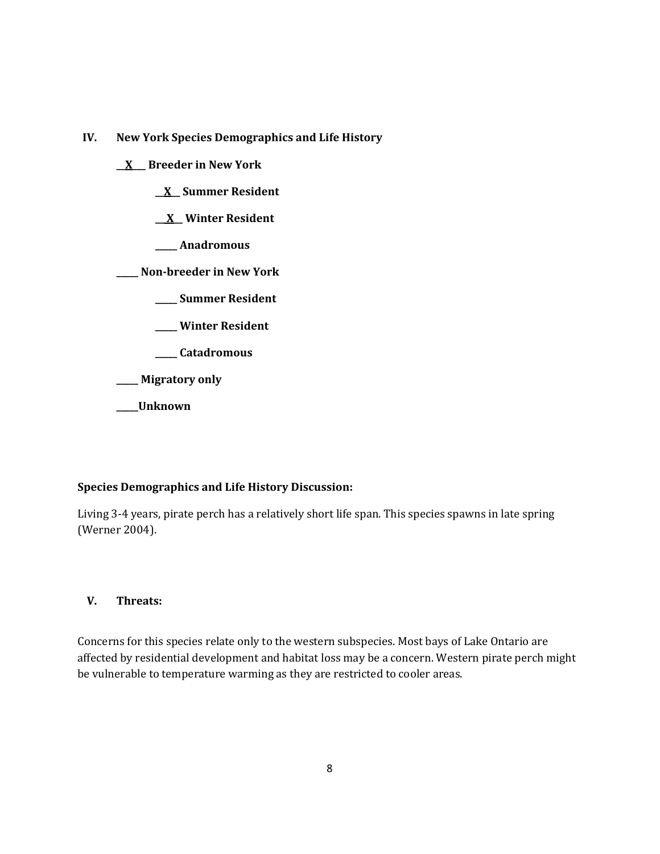**IV. New York Species Demographics and Life History**

**\_\_X\_\_\_ Breeder in New York**

**\_\_X\_\_ Summer Resident**

**\_\_ X\_\_ Winter Resident**

**\_\_\_\_\_ Anadromous**

**\_\_\_\_\_ Non-breeder in New York**

**\_\_\_\_\_ Summer Resident**

**\_\_\_\_\_ Winter Resident**

**\_\_\_\_\_ Catadromous**

**\_\_\_\_\_ Migratory only**

**\_\_\_\_\_Unknown**

# **Species Demographics and Life History Discussion:**

Living 3-4 years, pirate perch has a relatively short life span. This species spawns in late spring (Werner 2004).

# **V. Threats:**

Concerns for this species relate only to the western subspecies. Most bays of Lake Ontario are affected by residential development and habitat loss may be a concern. Western pirate perch might be vulnerable to temperature warming as they are restricted to cooler areas.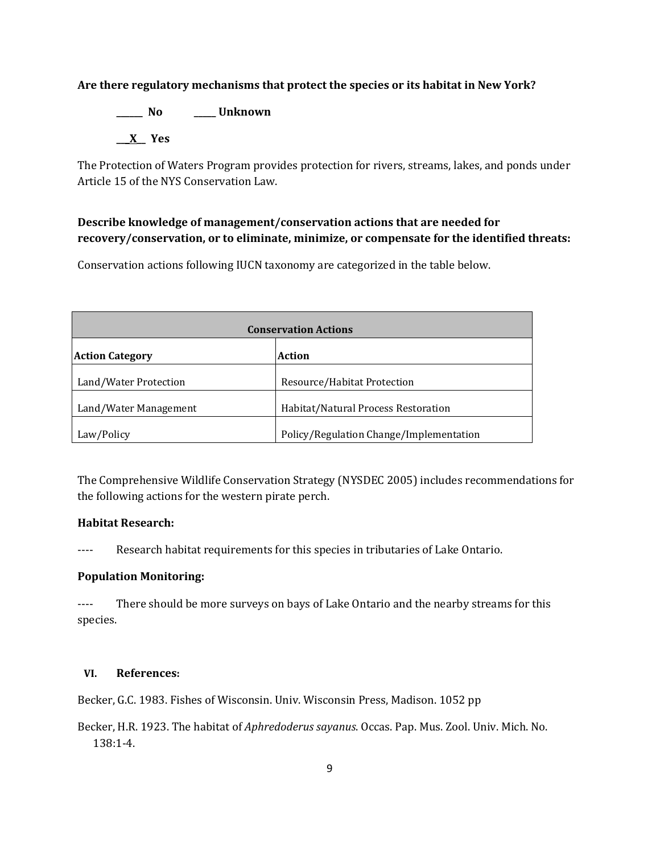# **Are there regulatory mechanisms that protect the species or its habitat in New York?**

**\_\_\_\_\_\_ No \_\_\_\_\_ Unknown \_\_\_X\_\_ Yes** 

The Protection of Waters Program provides protection for rivers, streams, lakes, and ponds under Article 15 of the NYS Conservation Law.

# **Describe knowledge of management/conservation actions that are needed for recovery/conservation, or to eliminate, minimize, or compensate for the identified threats:**

Conservation actions following IUCN taxonomy are categorized in the table below.

| <b>Conservation Actions</b> |                                         |  |
|-----------------------------|-----------------------------------------|--|
| <b>Action Category</b>      | <b>Action</b>                           |  |
| Land/Water Protection       | Resource/Habitat Protection             |  |
| Land/Water Management       | Habitat/Natural Process Restoration     |  |
| Law/Policy                  | Policy/Regulation Change/Implementation |  |

The Comprehensive Wildlife Conservation Strategy (NYSDEC 2005) includes recommendations for the following actions for the western pirate perch.

# **Habitat Research:**

---- Research habitat requirements for this species in tributaries of Lake Ontario.

# **Population Monitoring:**

---- There should be more surveys on bays of Lake Ontario and the nearby streams for this species.

#### **VI. References:**

Becker, G.C. 1983. Fishes of Wisconsin. Univ. Wisconsin Press, Madison. 1052 pp

Becker, H.R. 1923. The habitat of *Aphredoderus sayanus*. Occas. Pap. Mus. Zool. Univ. Mich. No. 138:1-4.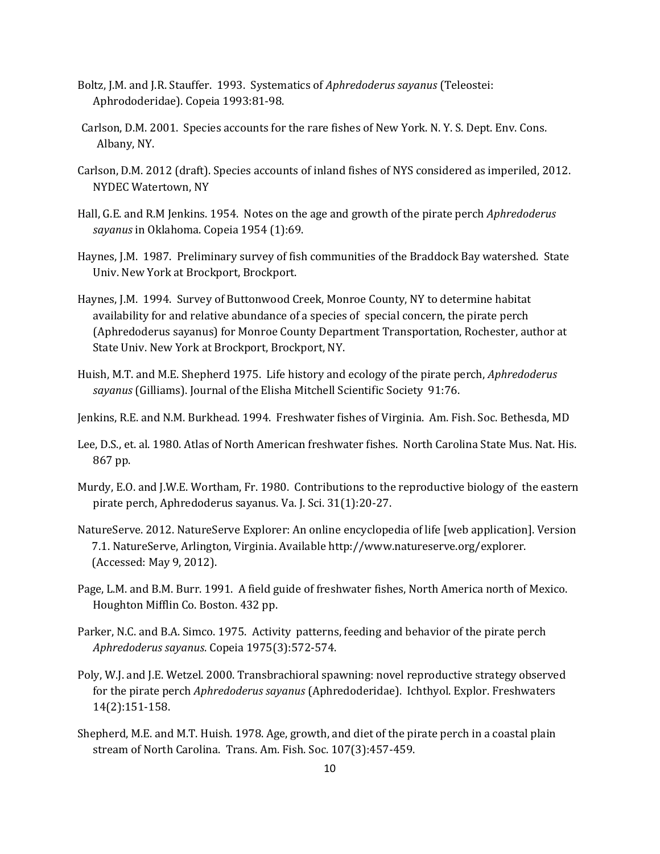- Boltz, J.M. and J.R. Stauffer. 1993. Systematics of *Aphredoderus sayanus* (Teleostei: Aphrododeridae). Copeia 1993:81-98.
- Carlson, D.M. 2001. Species accounts for the rare fishes of New York. N. Y. S. Dept. Env. Cons. Albany, NY.
- Carlson, D.M. 2012 (draft). Species accounts of inland fishes of NYS considered as imperiled, 2012. NYDEC Watertown, NY
- Hall, G.E. and R.M Jenkins. 1954. Notes on the age and growth of the pirate perch *Aphredoderus sayanus* in Oklahoma. Copeia 1954 (1):69.
- Haynes, J.M. 1987. Preliminary survey of fish communities of the Braddock Bay watershed. State Univ. New York at Brockport, Brockport.
- Haynes, J.M. 1994. Survey of Buttonwood Creek, Monroe County, NY to determine habitat availability for and relative abundance of a species of special concern, the pirate perch (Aphredoderus sayanus) for Monroe County Department Transportation, Rochester, author at State Univ. New York at Brockport, Brockport, NY.
- Huish, M.T. and M.E. Shepherd 1975. Life history and ecology of the pirate perch, *Aphredoderus sayanus* (Gilliams). Journal of the Elisha Mitchell Scientific Society 91:76.
- Jenkins, R.E. and N.M. Burkhead. 1994. Freshwater fishes of Virginia. Am. Fish. Soc. Bethesda, MD
- Lee, D.S., et. al. 1980. Atlas of North American freshwater fishes. North Carolina State Mus. Nat. His. 867 pp.
- Murdy, E.O. and J.W.E. Wortham, Fr. 1980. Contributions to the reproductive biology of the eastern pirate perch, Aphredoderus sayanus. Va. J. Sci. 31(1):20-27.
- NatureServe. 2012. NatureServe Explorer: An online encyclopedia of life [web application]. Version 7.1. NatureServe, Arlington, Virginia. Available http://www.natureserve.org/explorer. (Accessed: May 9, 2012).
- Page, L.M. and B.M. Burr. 1991. A field guide of freshwater fishes, North America north of Mexico. Houghton Mifflin Co. Boston. 432 pp.
- Parker, N.C. and B.A. Simco. 1975. Activity patterns, feeding and behavior of the pirate perch *Aphredoderus sayanus*. Copeia 1975(3):572-574.
- Poly, W.J. and J.E. Wetzel. 2000. Transbrachioral spawning: novel reproductive strategy observed for the pirate perch *Aphredoderus sayanus* (Aphredoderidae). Ichthyol. Explor. Freshwaters 14(2):151-158.
- Shepherd, M.E. and M.T. Huish. 1978. Age, growth, and diet of the pirate perch in a coastal plain stream of North Carolina. Trans. Am. Fish. Soc. 107(3):457-459.